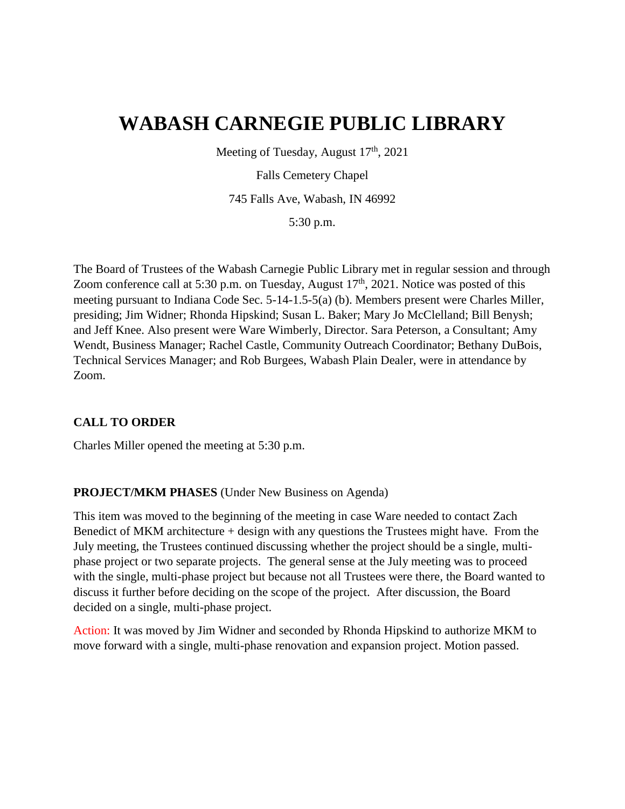# **WABASH CARNEGIE PUBLIC LIBRARY**

Meeting of Tuesday, August  $17<sup>th</sup>$ , 2021

Falls Cemetery Chapel

745 Falls Ave, Wabash, IN 46992

5:30 p.m.

The Board of Trustees of the Wabash Carnegie Public Library met in regular session and through Zoom conference call at 5:30 p.m. on Tuesday, August  $17<sup>th</sup>$ , 2021. Notice was posted of this meeting pursuant to Indiana Code Sec. 5-14-1.5-5(a) (b). Members present were Charles Miller, presiding; Jim Widner; Rhonda Hipskind; Susan L. Baker; Mary Jo McClelland; Bill Benysh; and Jeff Knee. Also present were Ware Wimberly, Director. Sara Peterson, a Consultant; Amy Wendt, Business Manager; Rachel Castle, Community Outreach Coordinator; Bethany DuBois, Technical Services Manager; and Rob Burgees, Wabash Plain Dealer, were in attendance by Zoom.

# **CALL TO ORDER**

Charles Miller opened the meeting at 5:30 p.m.

#### **PROJECT/MKM PHASES** (Under New Business on Agenda)

This item was moved to the beginning of the meeting in case Ware needed to contact Zach Benedict of MKM architecture + design with any questions the Trustees might have. From the July meeting, the Trustees continued discussing whether the project should be a single, multiphase project or two separate projects. The general sense at the July meeting was to proceed with the single, multi-phase project but because not all Trustees were there, the Board wanted to discuss it further before deciding on the scope of the project. After discussion, the Board decided on a single, multi-phase project.

Action: It was moved by Jim Widner and seconded by Rhonda Hipskind to authorize MKM to move forward with a single, multi-phase renovation and expansion project. Motion passed.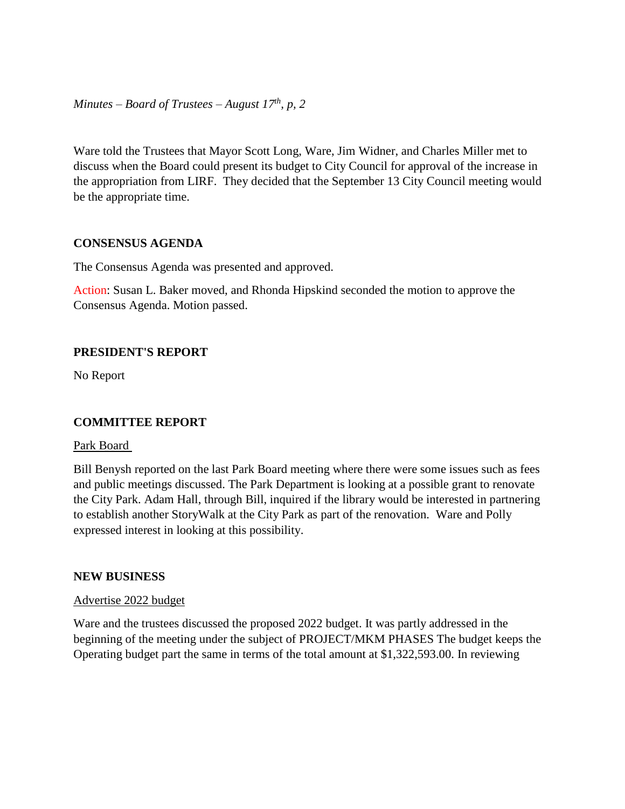*Minutes – Board of Trustees – August 17th, p, 2*

Ware told the Trustees that Mayor Scott Long, Ware, Jim Widner, and Charles Miller met to discuss when the Board could present its budget to City Council for approval of the increase in the appropriation from LIRF. They decided that the September 13 City Council meeting would be the appropriate time.

#### **CONSENSUS AGENDA**

The Consensus Agenda was presented and approved.

Action: Susan L. Baker moved, and Rhonda Hipskind seconded the motion to approve the Consensus Agenda. Motion passed.

#### **PRESIDENT'S REPORT**

No Report

#### **COMMITTEE REPORT**

#### Park Board

Bill Benysh reported on the last Park Board meeting where there were some issues such as fees and public meetings discussed. The Park Department is looking at a possible grant to renovate the City Park. Adam Hall, through Bill, inquired if the library would be interested in partnering to establish another StoryWalk at the City Park as part of the renovation. Ware and Polly expressed interest in looking at this possibility.

#### **NEW BUSINESS**

#### Advertise 2022 budget

Ware and the trustees discussed the proposed 2022 budget. It was partly addressed in the beginning of the meeting under the subject of PROJECT/MKM PHASES The budget keeps the Operating budget part the same in terms of the total amount at \$1,322,593.00. In reviewing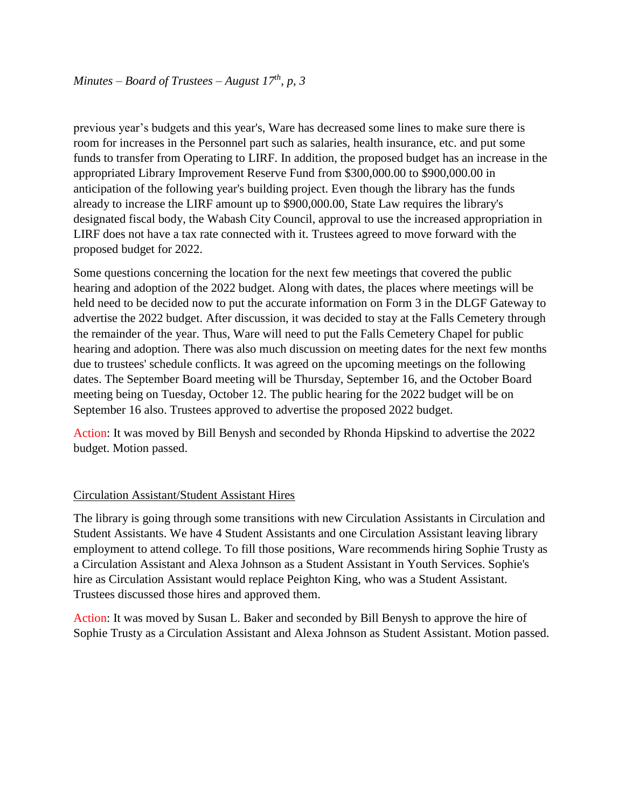previous year's budgets and this year's, Ware has decreased some lines to make sure there is room for increases in the Personnel part such as salaries, health insurance, etc. and put some funds to transfer from Operating to LIRF. In addition, the proposed budget has an increase in the appropriated Library Improvement Reserve Fund from \$300,000.00 to \$900,000.00 in anticipation of the following year's building project. Even though the library has the funds already to increase the LIRF amount up to \$900,000.00, State Law requires the library's designated fiscal body, the Wabash City Council, approval to use the increased appropriation in LIRF does not have a tax rate connected with it. Trustees agreed to move forward with the proposed budget for 2022.

Some questions concerning the location for the next few meetings that covered the public hearing and adoption of the 2022 budget. Along with dates, the places where meetings will be held need to be decided now to put the accurate information on Form 3 in the DLGF Gateway to advertise the 2022 budget. After discussion, it was decided to stay at the Falls Cemetery through the remainder of the year. Thus, Ware will need to put the Falls Cemetery Chapel for public hearing and adoption. There was also much discussion on meeting dates for the next few months due to trustees' schedule conflicts. It was agreed on the upcoming meetings on the following dates. The September Board meeting will be Thursday, September 16, and the October Board meeting being on Tuesday, October 12. The public hearing for the 2022 budget will be on September 16 also. Trustees approved to advertise the proposed 2022 budget.

Action: It was moved by Bill Benysh and seconded by Rhonda Hipskind to advertise the 2022 budget. Motion passed.

# Circulation Assistant/Student Assistant Hires

The library is going through some transitions with new Circulation Assistants in Circulation and Student Assistants. We have 4 Student Assistants and one Circulation Assistant leaving library employment to attend college. To fill those positions, Ware recommends hiring Sophie Trusty as a Circulation Assistant and Alexa Johnson as a Student Assistant in Youth Services. Sophie's hire as Circulation Assistant would replace Peighton King, who was a Student Assistant. Trustees discussed those hires and approved them.

Action: It was moved by Susan L. Baker and seconded by Bill Benysh to approve the hire of Sophie Trusty as a Circulation Assistant and Alexa Johnson as Student Assistant. Motion passed.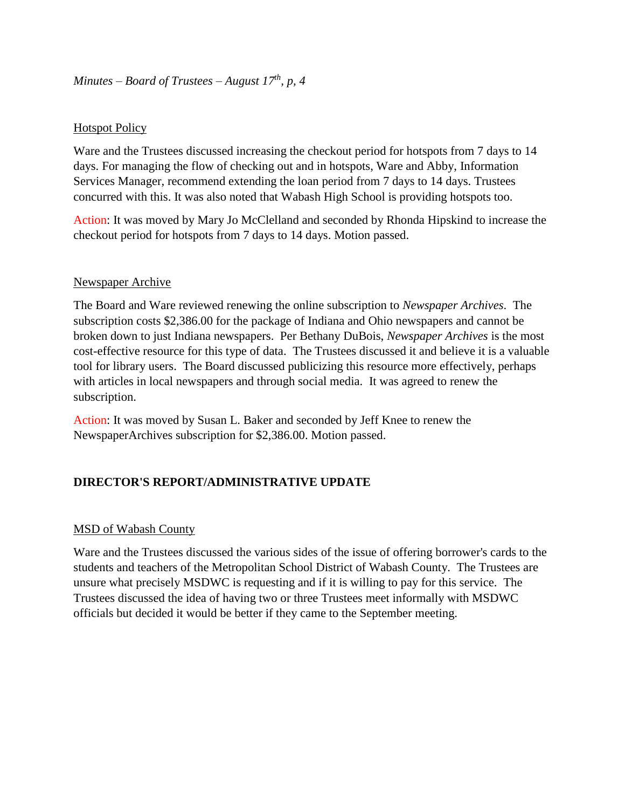## **Hotspot Policy**

Ware and the Trustees discussed increasing the checkout period for hotspots from 7 days to 14 days. For managing the flow of checking out and in hotspots, Ware and Abby, Information Services Manager, recommend extending the loan period from 7 days to 14 days. Trustees concurred with this. It was also noted that Wabash High School is providing hotspots too.

Action: It was moved by Mary Jo McClelland and seconded by Rhonda Hipskind to increase the checkout period for hotspots from 7 days to 14 days. Motion passed.

## Newspaper Archive

The Board and Ware reviewed renewing the online subscription to *Newspaper Archives*. The subscription costs \$2,386.00 for the package of Indiana and Ohio newspapers and cannot be broken down to just Indiana newspapers. Per Bethany DuBois, *Newspaper Archives* is the most cost-effective resource for this type of data. The Trustees discussed it and believe it is a valuable tool for library users. The Board discussed publicizing this resource more effectively, perhaps with articles in local newspapers and through social media. It was agreed to renew the subscription.

Action: It was moved by Susan L. Baker and seconded by Jeff Knee to renew the NewspaperArchives subscription for \$2,386.00. Motion passed.

# **DIRECTOR'S REPORT/ADMINISTRATIVE UPDATE**

#### MSD of Wabash County

Ware and the Trustees discussed the various sides of the issue of offering borrower's cards to the students and teachers of the Metropolitan School District of Wabash County. The Trustees are unsure what precisely MSDWC is requesting and if it is willing to pay for this service. The Trustees discussed the idea of having two or three Trustees meet informally with MSDWC officials but decided it would be better if they came to the September meeting.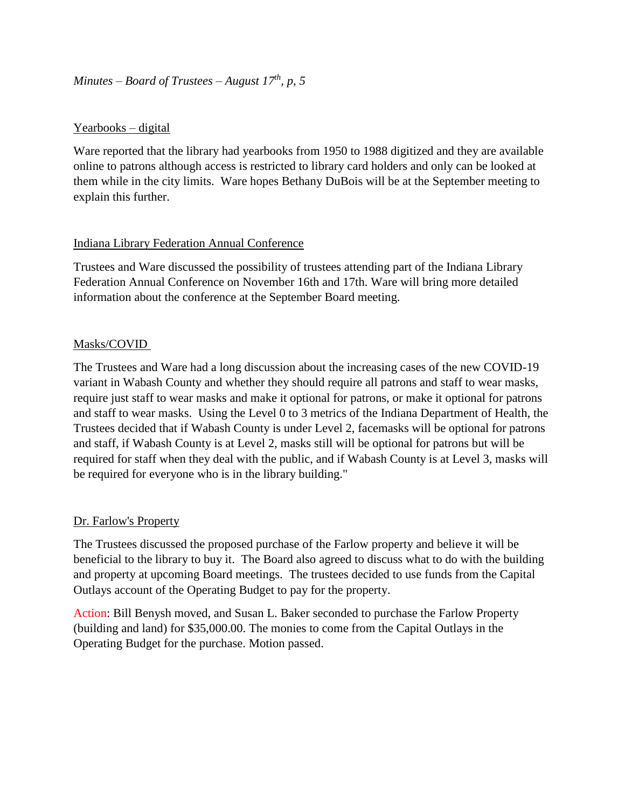# *Minutes – Board of Trustees – August 17th, p, 5*

#### Yearbooks – digital

Ware reported that the library had yearbooks from 1950 to 1988 digitized and they are available online to patrons although access is restricted to library card holders and only can be looked at them while in the city limits. Ware hopes Bethany DuBois will be at the September meeting to explain this further.

## Indiana Library Federation Annual Conference

Trustees and Ware discussed the possibility of trustees attending part of the Indiana Library Federation Annual Conference on November 16th and 17th. Ware will bring more detailed information about the conference at the September Board meeting.

## Masks/COVID

The Trustees and Ware had a long discussion about the increasing cases of the new COVID-19 variant in Wabash County and whether they should require all patrons and staff to wear masks, require just staff to wear masks and make it optional for patrons, or make it optional for patrons and staff to wear masks. Using the Level 0 to 3 metrics of the Indiana Department of Health, the Trustees decided that if Wabash County is under Level 2, facemasks will be optional for patrons and staff, if Wabash County is at Level 2, masks still will be optional for patrons but will be required for staff when they deal with the public, and if Wabash County is at Level 3, masks will be required for everyone who is in the library building."

#### Dr. Farlow's Property

The Trustees discussed the proposed purchase of the Farlow property and believe it will be beneficial to the library to buy it. The Board also agreed to discuss what to do with the building and property at upcoming Board meetings. The trustees decided to use funds from the Capital Outlays account of the Operating Budget to pay for the property.

Action: Bill Benysh moved, and Susan L. Baker seconded to purchase the Farlow Property (building and land) for \$35,000.00. The monies to come from the Capital Outlays in the Operating Budget for the purchase. Motion passed.